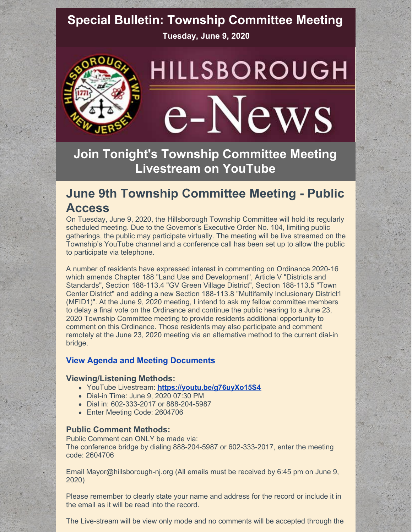# **Special Bulletin: Township Committee Meeting**

**Tuesday, June 9, 2020**



# HILLSBOROUGH e-News

**Join Tonight's Township Committee Meeting Livestream on YouTube**

## **June 9th Township Committee Meeting - Public Access**

On Tuesday, June 9, 2020, the Hillsborough Township Committee will hold its regularly scheduled meeting. Due to the Governor's Executive Order No. 104, limiting public gatherings, the public may participate virtually. The meeting will be live streamed on the Township's YouTube channel and a conference call has been set up to allow the public to participate via telephone.

A number of residents have expressed interest in commenting on Ordinance 2020-16 which amends Chapter 188 "Land Use and Development", Article V "Districts and Standards", Section 188-113.4 "GV Green Village District", Section 188-113.5 "Town Center District" and adding a new Section 188-113.8 "Multifamily Inclusionary District1 (MFID1)". At the June 9, 2020 meeting, I intend to ask my fellow committee members to delay a final vote on the Ordinance and continue the public hearing to a June 23, 2020 Township Committee meeting to provide residents additional opportunity to comment on this Ordinance. Those residents may also participate and comment remotely at the June 23, 2020 meeting via an alternative method to the current dial-in bridge.

## **View Agenda and Meeting [Documents](https://hillsboroughnj.civicclerk.com/web/home.aspx)**

### **Viewing/Listening Methods:**

- YouTube Livestream: **<https://youtu.be/g76uyXo15S4>**
- Dial-in Time: June 9, 2020 07:30 PM
- Dial in: 602-333-2017 or 888-204-5987
- Enter Meeting Code: 2604706

### **Public Comment Methods:**

Public Comment can ONLY be made via: The conference bridge by dialing 888-204-5987 or 602-333-2017, enter the meeting code: 2604706

Email Mayor@hillsborough-nj.org (All emails must be received by 6:45 pm on June 9, 2020)

Please remember to clearly state your name and address for the record or include it in the email as it will be read into the record.

The Live-stream will be view only mode and no comments will be accepted through the